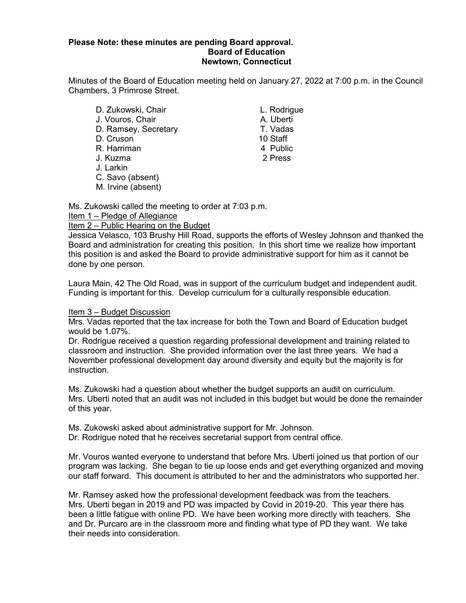## **Please Note: these minutes are pending Board approval. Board of Education Newtown, Connecticut**

Minutes of the Board of Education meeting held on January 27, 2022 at 7:00 p.m. in the Council Chambers, 3 Primrose Street.

D. Zukowski, Chair L. Rodrigue J. Vouros, Chair (and A. Uberti A. Uberti A. Uberti A. Uberti A. Uberti A. Uberti A. Uberti A. Vadas D. Ramsey, Secretary T. Vadas D. Cruson 10 Staff R. Harriman J. Kuzma 2 Press J. Larkin C. Savo (absent) M. Irvine (absent)

Ms. Zukowski called the meeting to order at 7:03 p.m.

Item 1 – Pledge of Allegiance

Item 2 – Public Hearing on the Budget

Jessica Velasco, 103 Brushy Hill Road, supports the efforts of Wesley Johnson and thanked the Board and administration for creating this position. In this short time we realize how important this position is and asked the Board to provide administrative support for him as it cannot be done by one person.

Laura Main, 42 The Old Road, was in support of the curriculum budget and independent audit. Funding is important for this. Develop curriculum for a culturally responsible education.

## Item 3 – Budget Discussion

Mrs. Vadas reported that the tax increase for both the Town and Board of Education budget would be 1.07%.

Dr. Rodrigue received a question regarding professional development and training related to classroom and instruction. She provided information over the last three years. We had a November professional development day around diversity and equity but the majority is for instruction.

Ms. Zukowski had a question about whether the budget supports an audit on curriculum. Mrs. Uberti noted that an audit was not included in this budget but would be done the remainder of this year.

Ms. Zukowski asked about administrative support for Mr. Johnson.

Dr. Rodrigue noted that he receives secretarial support from central office.

Mr. Vouros wanted everyone to understand that before Mrs. Uberti joined us that portion of our program was lacking. She began to tie up loose ends and get everything organized and moving our staff forward. This document is attributed to her and the administrators who supported her.

Mr. Ramsey asked how the professional development feedback was from the teachers. Mrs. Uberti began in 2019 and PD was impacted by Covid in 2019-20. This year there has been a little fatigue with online PD. We have been working more directly with teachers. She and Dr. Purcaro are in the classroom more and finding what type of PD they want. We take their needs into consideration.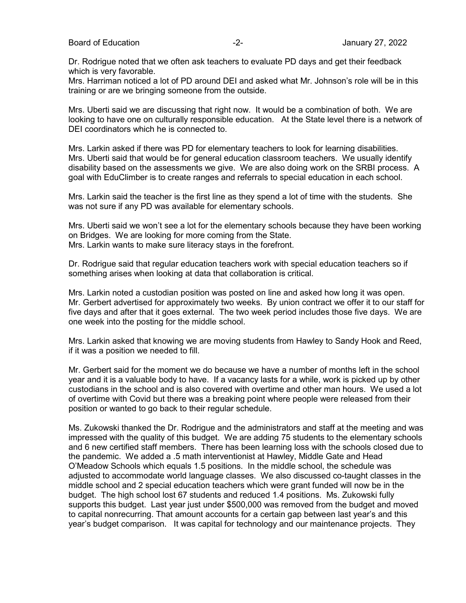Dr. Rodrigue noted that we often ask teachers to evaluate PD days and get their feedback which is very favorable.

Mrs. Harriman noticed a lot of PD around DEI and asked what Mr. Johnson's role will be in this training or are we bringing someone from the outside.

Mrs. Uberti said we are discussing that right now. It would be a combination of both. We are looking to have one on culturally responsible education. At the State level there is a network of DEI coordinators which he is connected to

Mrs. Larkin asked if there was PD for elementary teachers to look for learning disabilities. Mrs. Uberti said that would be for general education classroom teachers. We usually identify disability based on the assessments we give. We are also doing work on the SRBI process. A goal with EduClimber is to create ranges and referrals to special education in each school.

Mrs. Larkin said the teacher is the first line as they spend a lot of time with the students. She was not sure if any PD was available for elementary schools.

Mrs. Uberti said we won't see a lot for the elementary schools because they have been working on Bridges. We are looking for more coming from the State. Mrs. Larkin wants to make sure literacy stays in the forefront.

Dr. Rodrigue said that regular education teachers work with special education teachers so if something arises when looking at data that collaboration is critical.

Mrs. Larkin noted a custodian position was posted on line and asked how long it was open. Mr. Gerbert advertised for approximately two weeks. By union contract we offer it to our staff for five days and after that it goes external. The two week period includes those five days. We are one week into the posting for the middle school.

Mrs. Larkin asked that knowing we are moving students from Hawley to Sandy Hook and Reed, if it was a position we needed to fill.

Mr. Gerbert said for the moment we do because we have a number of months left in the school year and it is a valuable body to have. If a vacancy lasts for a while, work is picked up by other custodians in the school and is also covered with overtime and other man hours. We used a lot of overtime with Covid but there was a breaking point where people were released from their position or wanted to go back to their regular schedule.

Ms. Zukowski thanked the Dr. Rodrigue and the administrators and staff at the meeting and was impressed with the quality of this budget. We are adding 75 students to the elementary schools and 6 new certified staff members. There has been learning loss with the schools closed due to the pandemic. We added a .5 math interventionist at Hawley, Middle Gate and Head O'Meadow Schools which equals 1.5 positions. In the middle school, the schedule was adjusted to accommodate world language classes. We also discussed co-taught classes in the middle school and 2 special education teachers which were grant funded will now be in the budget. The high school lost 67 students and reduced 1.4 positions. Ms. Zukowski fully supports this budget. Last year just under \$500,000 was removed from the budget and moved to capital nonrecurring. That amount accounts for a certain gap between last year's and this year's budget comparison. It was capital for technology and our maintenance projects. They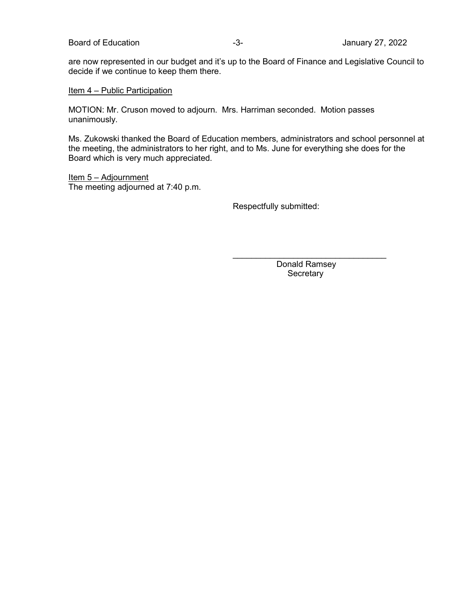are now represented in our budget and it's up to the Board of Finance and Legislative Council to decide if we continue to keep them there.

## Item 4 – Public Participation

MOTION: Mr. Cruson moved to adjourn. Mrs. Harriman seconded. Motion passes unanimously.

Ms. Zukowski thanked the Board of Education members, administrators and school personnel at the meeting, the administrators to her right, and to Ms. June for everything she does for the Board which is very much appreciated.

Item 5 - Adjournment The meeting adjourned at 7:40 p.m.

Respectfully submitted:

 $\frac{1}{2}$  , and the set of the set of the set of the set of the set of the set of the set of the set of the set of the set of the set of the set of the set of the set of the set of the set of the set of the set of the set Donald Ramsey **Secretary**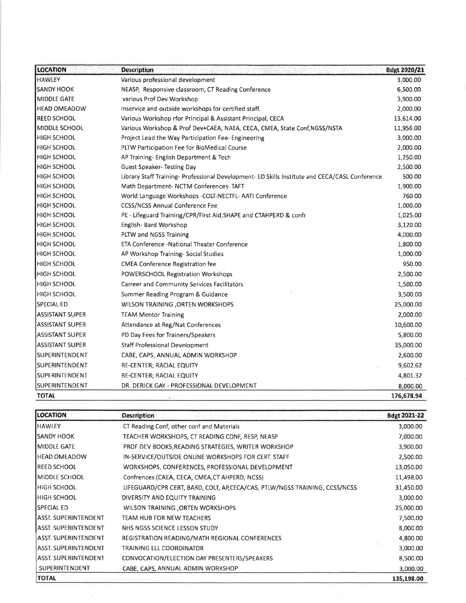| <b>LOCATION</b>        | <b>Description</b>                                                                             | Bdgt 2020/21 |
|------------------------|------------------------------------------------------------------------------------------------|--------------|
| <b>HAWLEY</b>          | Various professional development                                                               | 3,000.00     |
| <b>SANDY HOOK</b>      | NEASP, Responsive classroom, CT Reading Conference                                             | 6,500.00     |
| MIDDLE GATE            | various Prof Dev Workshop                                                                      | 3,900.00     |
| <b>HEAD OMEADOW</b>    | Inservice and outside workshops for certified staff.                                           | 2,000.00     |
| REED SCHOOL            | Various Workshop rfor Principal & Assistant Principal, CECA                                    | 13,614.00    |
| MIDDLE SCHOOL          | Various Workshop & Prof Dev+CAEA, NAEA, CECA, CMEA, State Conf, NGSS/NSTA                      | 11,956.00    |
| <b>HIGH SCHOOL</b>     | Project Lead the Way Participation Fee-Engineering                                             | 3,000.00     |
| HIGH SCHOOL            | PLTW Participation Fee for BioMedical Course                                                   | 2,000.00     |
| <b>HIGH SCHOOL</b>     | AP Training- English Department & Tech                                                         | 1,250.00     |
| <b>HIGH SCHOOL</b>     | <b>Guest Speaker- Testing Day</b>                                                              | 2,500.00     |
| <b>HIGH SCHOOL</b>     | Library Staff Training- Professional Development- ED Skills Institute and CECA/CASL Conference | 500.00       |
| HIGH SCHOOL            | Math Department- NCTM Conferences-TAFT                                                         | 1,900.00     |
| <b>HIGH SCHOOL</b>     | World Language Workshops -COLT-NECTFL- AATI Conference                                         | 760.00       |
| <b>HIGH SCHOOL</b>     | <b>CCSS/NCSS Annual Conference Fee</b>                                                         | 1,000.00     |
| <b>HIGH SCHOOL</b>     | PE - Lifeguard Training/CPR/First Aid, SHAPE and CTAHPERD & confr                              | 1,025.00     |
| HIGH SCHOOL            | English- Bard Workshop                                                                         | 3,120.00     |
| <b>HIGH SCHOOL</b>     | PLTW and NGSS Training                                                                         | 4,000.00     |
| <b>HIGH SCHOOL</b>     | ETA Conference -National Theater Conference                                                    | 1,800.00     |
| <b>HIGH SCHOOL</b>     | AP Workshop Training-Social Studies                                                            | 1,000.00     |
| <b>HIGH SCHOOL</b>     | <b>CMEA Conference Registration fee</b>                                                        | 950.00       |
| <b>HIGH SCHOOL</b>     | POWERSCHOOL Registration Workshops                                                             | 2,500.00     |
| <b>HIGH SCHOOL</b>     | Carreer and Community Services Facilitators                                                    | 1,500.00     |
| <b>HIGH SCHOOL</b>     | Summer Reading Program & Guidance                                                              | 3,500.00     |
| SPECIAL ED             | WILSON TRAINING ORTEN WORKSHOPS                                                                | 25,000.00    |
| <b>ASSISTANT SUPER</b> | <b>TEAM Mentor Training</b>                                                                    | 2,000.00     |
| <b>ASSISTANT SUPER</b> | Attendance at Reg/Nat Conferences                                                              | 10,600.00    |
| <b>ASSISTANT SUPER</b> | PD Day Fees for Trainers/Speakers                                                              | 5,800.00     |
| <b>ASSISTANT SUPER</b> | <b>Staff Professional Development</b>                                                          | 35,000.00    |
| SUPERINTENDENT         | CABE, CAPS, ANNUAL ADMIN WORKSHOP                                                              | 2,600.00     |
| SUPERINTENDENT         | RE-CENTER; RACIAL EQUITY                                                                       | 9,602.62     |
| <b>SUPERINTENDENT</b>  | RE-CENTER; RACIAL EQUITY                                                                       | 4,801.32     |
| SUPERINTENDENT         | DR. DERICK GAY - PROFESSIONAL DEVELOPMENT                                                      | 8,000.00     |
| <b>TOTAL</b>           |                                                                                                | 176,678.94   |

| <b>LOCATION</b>             | <b>Description</b>                                                          | Bdgt 2021-22 |
|-----------------------------|-----------------------------------------------------------------------------|--------------|
| <b>HAWLEY</b>               | CT Reading Conf, other conf and Materials                                   | 3,000.00     |
| <b>ISANDY HOOK</b>          | TEACHER WORKSHOPS, CT READING CONF, RESP, NEASP                             | 7,000.00     |
| <b>I</b> MIDDLE GATE        | PROF DEV BOOKS, READING STRATEGIES, WRITER WORKSHOP                         | 3,900.00     |
| <b>I</b> HEAD OMEADOW       | IN-SERVICE/OUTSIDE ONLINE WORKSHOPS FOR CERT. STAFF                         | 2,500.00     |
| <b>REED SCHOOL</b>          | WORKSHOPS, CONFERENCES, PROFESSIONAL DEVELOPMENT                            | 13,050.00    |
| <b>MIDDLE SCHOOL</b>        | Confrences (CAEA, CECA, CMEA, CT AHPERD, NCSS)                              | 11,498.00    |
| I HIGH SCHOOL               | LIFEGUARD/CPR CERT, BARD, COLT, AP, CECA/CAS, PTLW/NGSS TRAINING, CCSS/NCSS | 31,450.00    |
| HIGH SCHOOL                 | DIVERSITY AND EQUITY TRAINING                                               | 3,000.00     |
| l SPECIAL ED                | WILSON TRAINING , ORTEN WORKSHOPS                                           | 25,000.00    |
| ASST. SUPERINTENDENT        | TEAM HUB FOR NEW TEACHERS                                                   | 7,500.00     |
| ASST. SUPERINTENDENT        | NHS NGSS SCIENCE LESSON STUDY                                               | 8,000.00     |
| <b>ASST. SUPERINTENDENT</b> | REGISTRATION READING/MATH REGIONAL CONFERENCES                              | 4,800.00     |
| <b>ASST. SUPERINTENDENT</b> | TRAINING ELL COORDINATOR                                                    | 3,000.00     |
| <b>ASST. SUPERINTENDENT</b> | CONVOCATION/ELECTION DAY PRESENTERS/SPEAKERS                                | 8,500.00     |
| SUPERINTENDENT              | CABE, CAPS, ANNUAL ADMIN WORKSHOP                                           | 3,000.00     |
| <b>TOTAL</b>                |                                                                             |              |